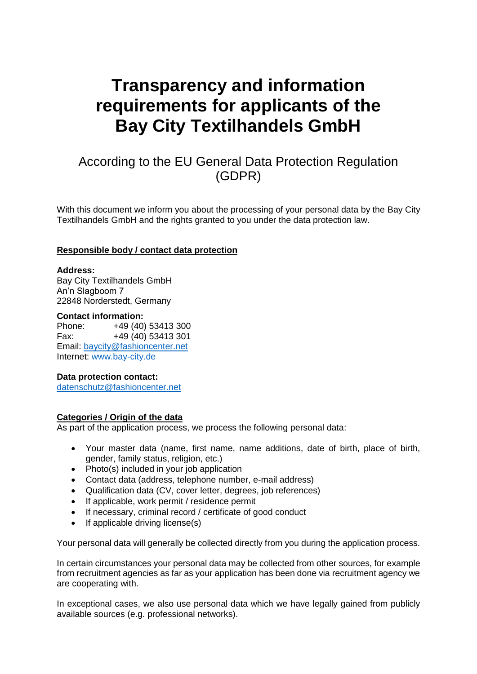# **Transparency and information requirements for applicants of the Bay City Textilhandels GmbH**

# According to the EU General Data Protection Regulation (GDPR)

With this document we inform you about the processing of your personal data by the Bay City Textilhandels GmbH and the rights granted to you under the data protection law.

#### **Responsible body / contact data protection**

#### **Address:**

Bay City Textilhandels GmbH An'n Slagboom 7 22848 Norderstedt, Germany

#### **Contact information:**

Phone: +49 (40) 53413 300 Fax: +49 (40) 53413 301 Email: [baycity@fashioncenter.net](mailto:baycity@fashioncenter.net) Internet: [www.bay-city.de](http://www.bay-city.de/)

#### **Data protection contact:**

[datenschutz@fashioncenter.net](mailto:datenschutz@fashioncenter.net)

# **Categories / Origin of the data**

As part of the application process, we process the following personal data:

- Your master data (name, first name, name additions, date of birth, place of birth, gender, family status, religion, etc.)
- Photo(s) included in your job application
- Contact data (address, telephone number, e-mail address)
- Qualification data (CV, cover letter, degrees, job references)
- If applicable, work permit / residence permit
- If necessary, criminal record / certificate of good conduct
- $\bullet$  If applicable driving license(s)

Your personal data will generally be collected directly from you during the application process.

In certain circumstances your personal data may be collected from other sources, for example from recruitment agencies as far as your application has been done via recruitment agency we are cooperating with.

In exceptional cases, we also use personal data which we have legally gained from publicly available sources (e.g. professional networks).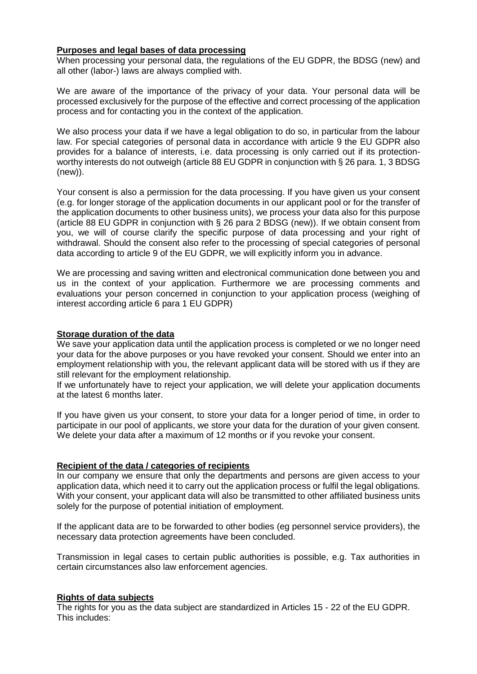#### **Purposes and legal bases of data processing**

When processing your personal data, the regulations of the EU GDPR, the BDSG (new) and all other (labor-) laws are always complied with.

We are aware of the importance of the privacy of your data. Your personal data will be processed exclusively for the purpose of the effective and correct processing of the application process and for contacting you in the context of the application.

We also process your data if we have a legal obligation to do so, in particular from the labour law. For special categories of personal data in accordance with article 9 the EU GDPR also provides for a balance of interests, i.e. data processing is only carried out if its protectionworthy interests do not outweigh (article 88 EU GDPR in conjunction with § 26 para. 1, 3 BDSG (new)).

Your consent is also a permission for the data processing. If you have given us your consent (e.g. for longer storage of the application documents in our applicant pool or for the transfer of the application documents to other business units), we process your data also for this purpose (article 88 EU GDPR in conjunction with § 26 para 2 BDSG (new)). If we obtain consent from you, we will of course clarify the specific purpose of data processing and your right of withdrawal. Should the consent also refer to the processing of special categories of personal data according to article 9 of the EU GDPR, we will explicitly inform you in advance.

We are processing and saving written and electronical communication done between you and us in the context of your application. Furthermore we are processing comments and evaluations your person concerned in conjunction to your application process (weighing of interest according article 6 para 1 EU GDPR)

#### **Storage duration of the data**

We save your application data until the application process is completed or we no longer need your data for the above purposes or you have revoked your consent. Should we enter into an employment relationship with you, the relevant applicant data will be stored with us if they are still relevant for the employment relationship.

If we unfortunately have to reject your application, we will delete your application documents at the latest 6 months later.

If you have given us your consent, to store your data for a longer period of time, in order to participate in our pool of applicants, we store your data for the duration of your given consent. We delete your data after a maximum of 12 months or if you revoke your consent.

# **Recipient of the data / categories of recipients**

In our company we ensure that only the departments and persons are given access to your application data, which need it to carry out the application process or fulfil the legal obligations. With your consent, your applicant data will also be transmitted to other affiliated business units solely for the purpose of potential initiation of employment.

If the applicant data are to be forwarded to other bodies (eg personnel service providers), the necessary data protection agreements have been concluded.

Transmission in legal cases to certain public authorities is possible, e.g. Tax authorities in certain circumstances also law enforcement agencies.

# **Rights of data subjects**

The rights for you as the data subject are standardized in Articles 15 - 22 of the EU GDPR. This includes: